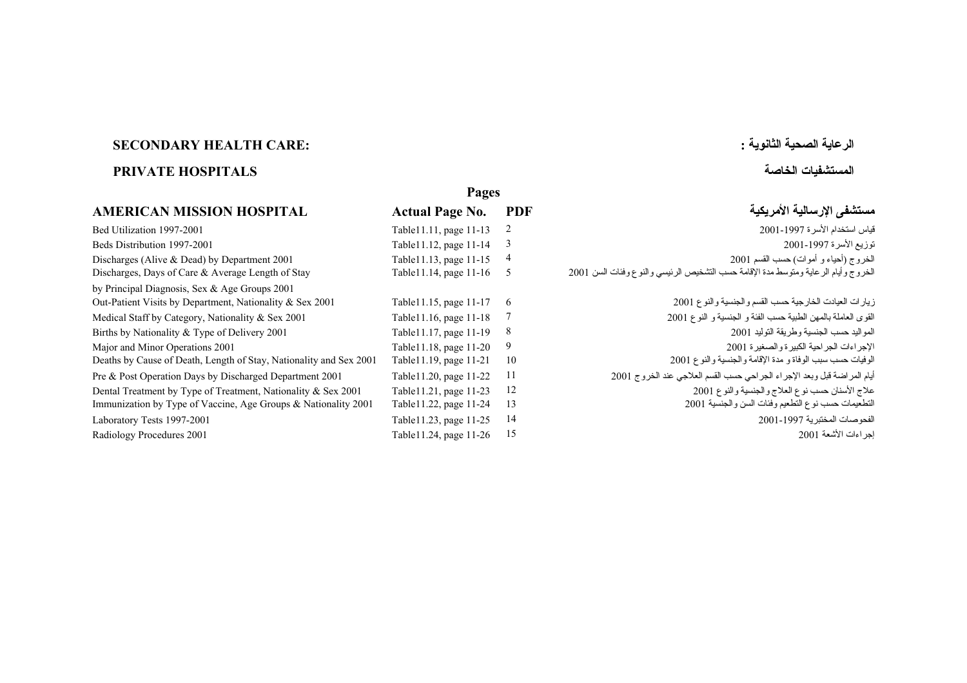## **الرعاية الصحية الثانوية : :CARE HEALTH SECONDARY**

## **المستشفيات الخاصة HOSPITALS PRIVATE**

| Pages                                                              |                         |     |                                                                                    |  |  |  |  |  |  |  |  |
|--------------------------------------------------------------------|-------------------------|-----|------------------------------------------------------------------------------------|--|--|--|--|--|--|--|--|
| <b>AMERICAN MISSION HOSPITAL</b>                                   | <b>Actual Page No.</b>  | PDF | مستشفى الإرسالية الأمريكية                                                         |  |  |  |  |  |  |  |  |
| Bed Utilization 1997-2001                                          | Table11.11, page 11-13  | 2   | قياس استخدام الأسرة 1997-2001                                                      |  |  |  |  |  |  |  |  |
| Beds Distribution 1997-2001                                        | Table11.12, page 11-14  | - 3 | توزيع الأسرة 1997-2001                                                             |  |  |  |  |  |  |  |  |
| Discharges (Alive & Dead) by Department 2001                       | Table11.13, page 11-15  | 4   | الخروج (أحياء و أموات) حسب القسم 2001                                              |  |  |  |  |  |  |  |  |
| Discharges, Days of Care & Average Length of Stay                  | Table11.14, page 11-16  | - 5 | الخروج وأيام الرعاية ومنوسط مدة الإقامة حسب التشخيص الرئيسي والنوع وفئات السن 2001 |  |  |  |  |  |  |  |  |
| by Principal Diagnosis, Sex & Age Groups 2001                      |                         |     |                                                                                    |  |  |  |  |  |  |  |  |
| Out-Patient Visits by Department, Nationality & Sex 2001           | Table 11.15, page 11-17 | 6   | زيارات العيادت الخارجية حسب القسم والجنسية والنوع 2001                             |  |  |  |  |  |  |  |  |
| Medical Staff by Category, Nationality & Sex 2001                  | Table11.16, page 11-18  |     | القوى العاملة بالمهن الطبية حسب الفئة و الجنسية و النوع 2001                       |  |  |  |  |  |  |  |  |
| Births by Nationality & Type of Delivery 2001                      | Table11.17, page 11-19  | 8   | المواليد حسب الجنسية وطريقة النوليد 2001                                           |  |  |  |  |  |  |  |  |
| Major and Minor Operations 2001                                    | Table11.18, page 11-20  | 9   | الإجراءات الجراحية الكبيرة والصغيرة 2001                                           |  |  |  |  |  |  |  |  |
| Deaths by Cause of Death, Length of Stay, Nationality and Sex 2001 | Table11.19, page 11-21  | 10  | الوفيات حسب سبب الوفاة و مدة الإقامة والجنسية والنوع 2001                          |  |  |  |  |  |  |  |  |
| Pre & Post Operation Days by Discharged Department 2001            | Table11.20, page 11-22  | -11 | أيام المراضة قبل وبعد الإجراء الجراحي حسب القسم العلاجي عند الخروج 2001            |  |  |  |  |  |  |  |  |
| Dental Treatment by Type of Treatment, Nationality & Sex 2001      | Table11.21, page 11-23  | 12  | علاج الأسنان حسب نوع العلاج والجنسية والنوع 2001                                   |  |  |  |  |  |  |  |  |
| Immunization by Type of Vaccine, Age Groups & Nationality 2001     | Table11.22, page 11-24  | 13  | التطعيمات حسب نوع التطعيم وفئات السن والجنسية 2001                                 |  |  |  |  |  |  |  |  |
| Laboratory Tests 1997-2001                                         | Table11.23, page 11-25  | 14  | الفحوصات المختبرية 1997-2001                                                       |  |  |  |  |  |  |  |  |
| Radiology Procedures 2001                                          | Table11.24, page 11-26  | 15  | اجر اءات الأشعة 2001                                                               |  |  |  |  |  |  |  |  |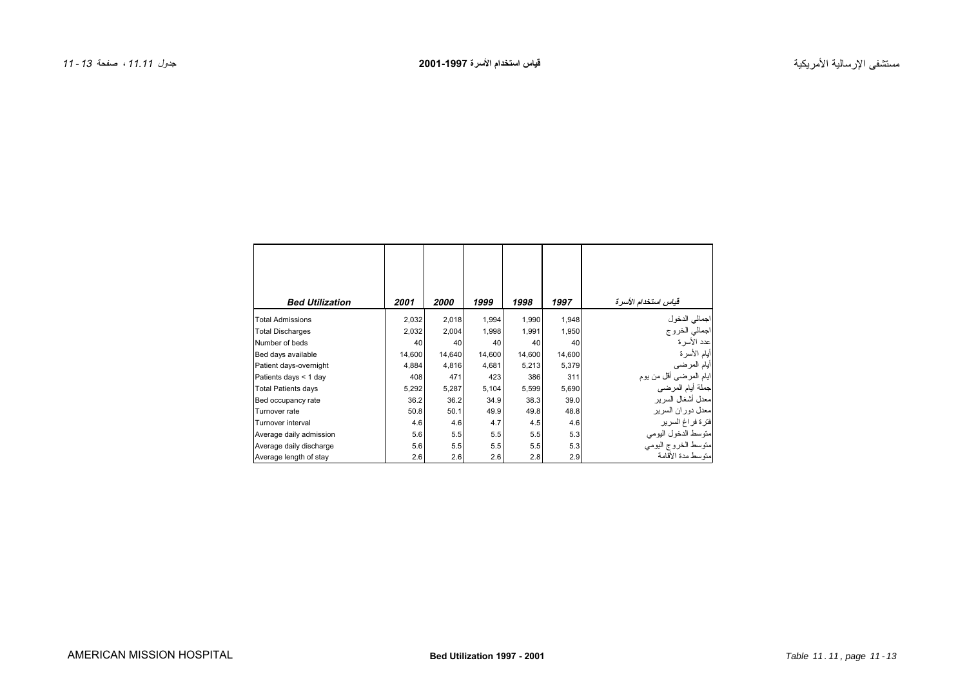<span id="page-1-0"></span>

| <b>Bed Utilization</b>     | 2001   | <i><b>2000</b></i> | 1999   | 1998   | 1997   | قياس استخدام الأسرة            |
|----------------------------|--------|--------------------|--------|--------|--------|--------------------------------|
| <b>Total Admissions</b>    | 2,032  | 2,018              | 1,994  | 1,990  | 1,948  |                                |
| <b>Total Discharges</b>    | 2,032  | 2,004              | 1,998  | 1,991  | 1,950  | اجمالي الدخول<br>اجمالي الخروج |
| Number of beds             | 40     | 40                 | 40     | 40     | 40     | عدد الأسر ة                    |
| Bed days available         | 14,600 | 14,640             | 14,600 | 14,600 | 14,600 | أيام الأسرة                    |
| Patient days-overnight     | 4,884  | 4,816              | 4,681  | 5,213  | 5,379  | أيام المرضى                    |
| Patients days < 1 day      | 408    | 471                | 423    | 386    | 311    | اليام المرضىي أقل من يوم       |
| <b>Total Patients days</b> | 5,292  | 5,287              | 5,104  | 5,599  | 5,690  | جملة أيام المرضي               |
| Bed occupancy rate         | 36.2   | 36.2               | 34.9   | 38.3   | 39.0   | معدل أشغال السر بر             |
| Turnover rate              | 50.8   | 50.1               | 49.9   | 49.8   | 48.8   | معدل دوران السرير              |
| Turnover interval          | 4.6    | 4.6                | 4.7    | 4.5    | 4.6    | فترة فراغ السرير               |
| Average daily admission    | 5.6    | 5.5                | 5.5    | 5.5    | 5.3    | متوسط الدخول اليومى            |
| Average daily discharge    | 5.6    | 5.5                | 5.5    | 5.5    | 5.3    | متوسط الخروج اليومي            |
| Average length of stay     | 2.6    | 2.6                | 2.6    | 2.8    | 2.9    | متوسط مدة الأقامة              |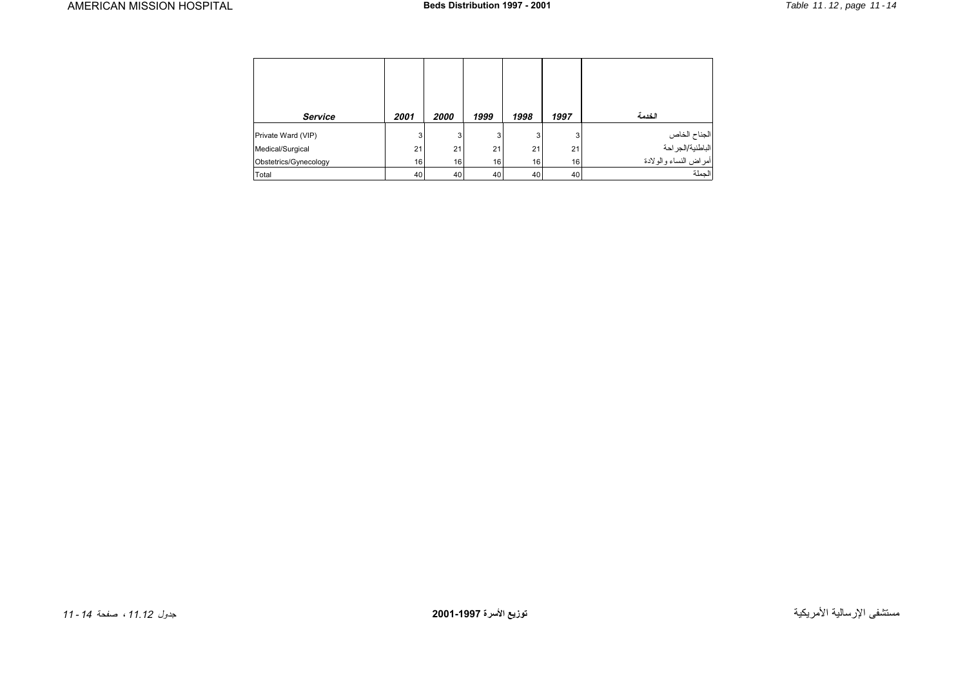<span id="page-2-0"></span>

| <b>Service</b>        | 2001 | 2000 | 1999 | 1998 | 1997 | الخدمة                                                     |
|-----------------------|------|------|------|------|------|------------------------------------------------------------|
|                       |      |      |      |      |      |                                                            |
| Private Ward (VIP)    |      |      | 3    | 3    | 3    | الجناح الخاص<br>الباطنية/الجراحة<br>أمر اض النساء والولادة |
| Medical/Surgical      | 21   | 21   | 21   | 21   | 21   |                                                            |
| Obstetrics/Gynecology | 16   | 16   | 16   | 16   | 16   |                                                            |
| Total                 | 40   | 40   | 40   | 40   | 40   | الحملة                                                     |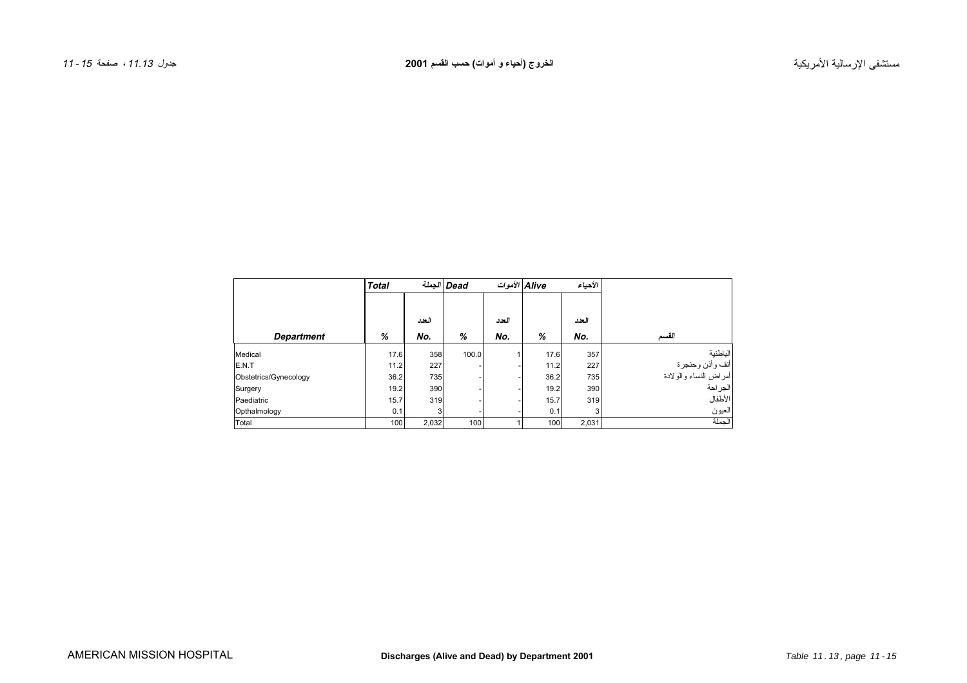<span id="page-3-0"></span>

|                       | <b>Total</b> |       | Dead الجملة |       | Alive الأموات | الأحياء |                       |
|-----------------------|--------------|-------|-------------|-------|---------------|---------|-----------------------|
|                       |              |       |             |       |               |         |                       |
|                       |              | العدد |             | العدد |               | العدد   |                       |
| <b>Department</b>     | %            | No.   | %           | No.   | %             | No.     | القسم                 |
| Medical               | 17.6         | 358   | 100.0       |       | 17.6          | 357     | الباطنية              |
| E.N.T                 | 11.2         | 227   |             |       | 11.2          | 227     | أنف وأذن وحنجرة       |
| Obstetrics/Gynecology | 36.2         | 735   |             |       | 36.2          | 735     | أمراض النساء والولادة |
| Surgery               | 19.2         | 390   |             |       | 19.2          | 390     | الجر احة              |
| Paediatric            | 15.7         | 319   |             |       | 15.7          | 319     | الأطفال               |
| Opthalmology          | 0.1          | 3     |             |       | 0.1           | 3       | العيون                |
| Total                 | 100          | 2,032 | 100         |       | 100           | 2.031   | الجملة                |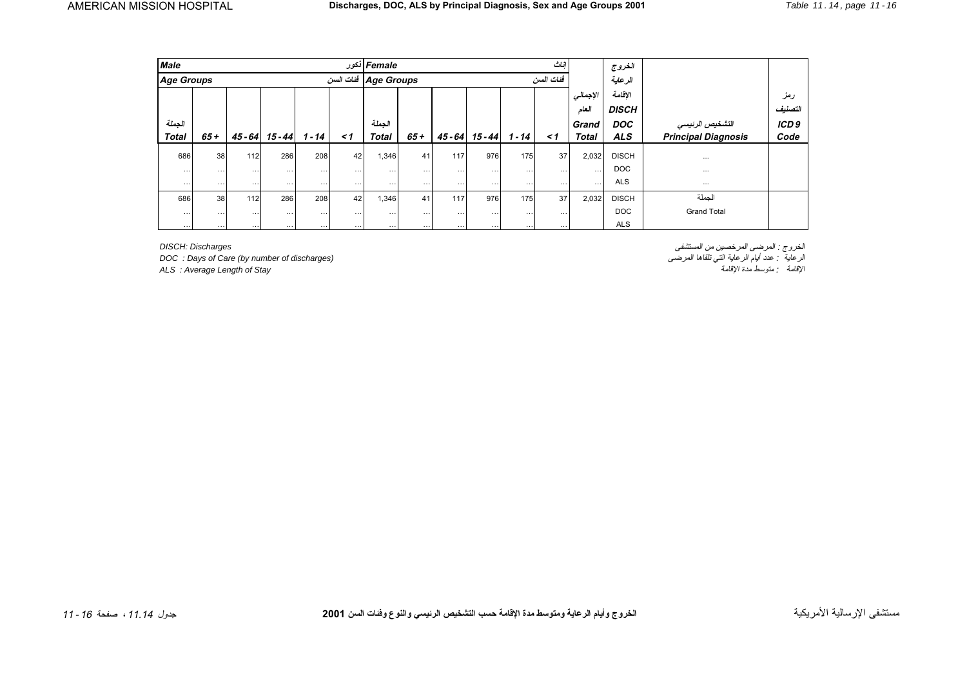<span id="page-4-0"></span>

| <b>Male</b>       |          |          |                   |          |          | Female أنكور<br>اثاث |                                   |          |           |          |          |              | الخروج       |                            |                  |
|-------------------|----------|----------|-------------------|----------|----------|----------------------|-----------------------------------|----------|-----------|----------|----------|--------------|--------------|----------------------------|------------------|
| <b>Age Groups</b> |          |          |                   |          |          |                      | Age Groups فَات السن<br>فنات السن |          |           |          |          |              | الرعاية      |                            |                  |
|                   |          |          |                   |          |          |                      |                                   |          |           |          |          | الإجمالي     | الاقامة      |                            | رمز              |
|                   |          |          |                   |          |          |                      |                                   |          |           |          |          | العام        | <b>DISCH</b> |                            | التصنيف          |
| الجملة            |          |          |                   |          |          | الجملة               |                                   |          |           |          |          | Grand        | <b>DOC</b>   | التشخيص الرئيسي            | ICD <sub>9</sub> |
| <b>Total</b>      | $65+$    |          | $45 - 64$ 15 - 44 | $1 - 14$ | $\leq$ 1 | <b>Total</b>         | $65+$                             | 45 - 64  | $15 - 44$ | $1 - 14$ | $\leq$ 1 | <b>Total</b> | <b>ALS</b>   | <b>Principal Diagnosis</b> | Code             |
| 686               | 38       | 112      | 286               | 208      | 42       | 1,346                | 41                                | 117      | 976       | 175      | 37       | 2,032        | <b>DISCH</b> | $\cdots$                   |                  |
| $\cdots$          | $\cdots$ | $\cdots$ | $\cdots$          | $\cdots$ | $\cdots$ | $\cdots$             | $\cdots$                          | $\cdots$ | $\cdots$  | $\cdots$ | $\cdots$ | $\cdots$     | DOC          | $\cdots$                   |                  |
| $\cdots$          | $\cdots$ | $\cdots$ | $\cdots$          | $\cdots$ | $\cdots$ | $\cdots$             | $\cdots$                          | $\cdots$ | $\cdots$  | $\cdots$ | $\cdots$ | $\cdots$     | <b>ALS</b>   | $\cdots$                   |                  |
| 686               | 38       | 112      | 286               | 208      | 42       | 1,346                | 41                                | 117      | 976       | 175      | 37       | 2,032        | <b>DISCH</b> | الحملة                     |                  |
| $\cdots$          | $\cdots$ | $\cdots$ | $\cdots$          | $\cdots$ | $\cdots$ | $\cdots$             | $\cdots$                          | $\cdots$ | $\cdots$  | $\cdots$ | $\cdots$ |              | <b>DOC</b>   | <b>Grand Total</b>         |                  |
| $\cdots$          | $\cdots$ | $\cdots$ | $\cdots$          | $\cdots$ | $\cdots$ | $\cdots$             | $\cdots$                          | $\cdots$ | $\cdots$  | $\cdots$ | $\cdots$ |              | <b>ALS</b>   |                            |                  |

*DOC : Days of Care (by number of discharges)*<br>ALS : Average Length of Stay

الخروج : المرضى المرخصين من المستشفى *Discharges :DISCH ALS : Average Length of Stay* الإقامة مدة متوسط : الإقامة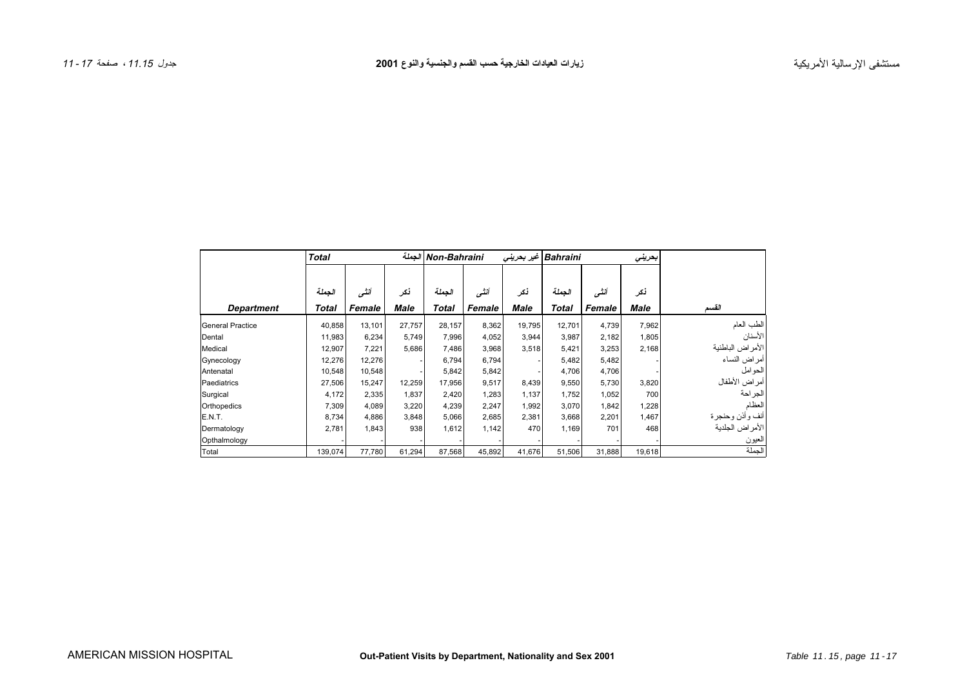<span id="page-5-0"></span>

|                         | <b>Total</b> |        |             |        | Non-Bahraini الجملة | Bahraini غیر بحرینی<br>بمرينى |              |        |             |                   |
|-------------------------|--------------|--------|-------------|--------|---------------------|-------------------------------|--------------|--------|-------------|-------------------|
|                         |              |        |             |        |                     |                               |              |        |             |                   |
|                         | الحملة       | أنشى   | نكر         | الجملة | أنشى                | نكر                           | الجملة       | أنشى   | نكر         |                   |
| <b>Department</b>       | Total        | Female | <b>Male</b> | Total  | Female              | <b>Male</b>                   | <b>Total</b> | Female | <b>Male</b> | القسم             |
| <b>General Practice</b> | 40,858       | 13,101 | 27,757      | 28,157 | 8,362               | 19,795                        | 12,701       | 4,739  | 7,962       | الطب العام        |
| Dental                  | 11,983       | 6,234  | 5,749       | 7,996  | 4,052               | 3,944                         | 3,987        | 2,182  | 1,805       | الأسنان           |
| Medical                 | 12,907       | 7,221  | 5,686       | 7,486  | 3,968               | 3,518                         | 5,421        | 3,253  | 2,168       | الأمر اض الباطنية |
| Gynecology              | 12,276       | 12,276 |             | 6,794  | 6,794               |                               | 5,482        | 5,482  |             | أمراض النساء      |
| Antenatal               | 10,548       | 10,548 |             | 5,842  | 5,842               |                               | 4,706        | 4,706  |             | الحو امل          |
| Paediatrics             | 27,506       | 15,247 | 12,259      | 17,956 | 9,517               | 8,439                         | 9,550        | 5,730  | 3,820       | أمراض الأطفال     |
| Surgical                | 4,172        | 2,335  | 1,837       | 2,420  | 1,283               | 1,137                         | 1,752        | 1,052  | 700         | الجر احة          |
| Orthopedics             | 7,309        | 4,089  | 3,220       | 4,239  | 2,247               | 1,992                         | 3,070        | 1,842  | 1,228       | العظام            |
| <b>E.N.T.</b>           | 8,734        | 4,886  | 3,848       | 5,066  | 2,685               | 2,381                         | 3,668        | 2,201  | 1,467       | أنف و أذن وحنجر ة |
| Dermatology             | 2,781        | 1,843  | 938         | 1,612  | 1,142               | 470                           | 1,169        | 701    | 468         | الأمراض الجلدية   |
| Opthalmology            |              |        |             |        |                     |                               |              |        |             | العيون            |
| Total                   | 139,074      | 77,780 | 61,294      | 87,568 | 45,892              | 41,676                        | 51,506       | 31,888 | 19,618      | الجملة            |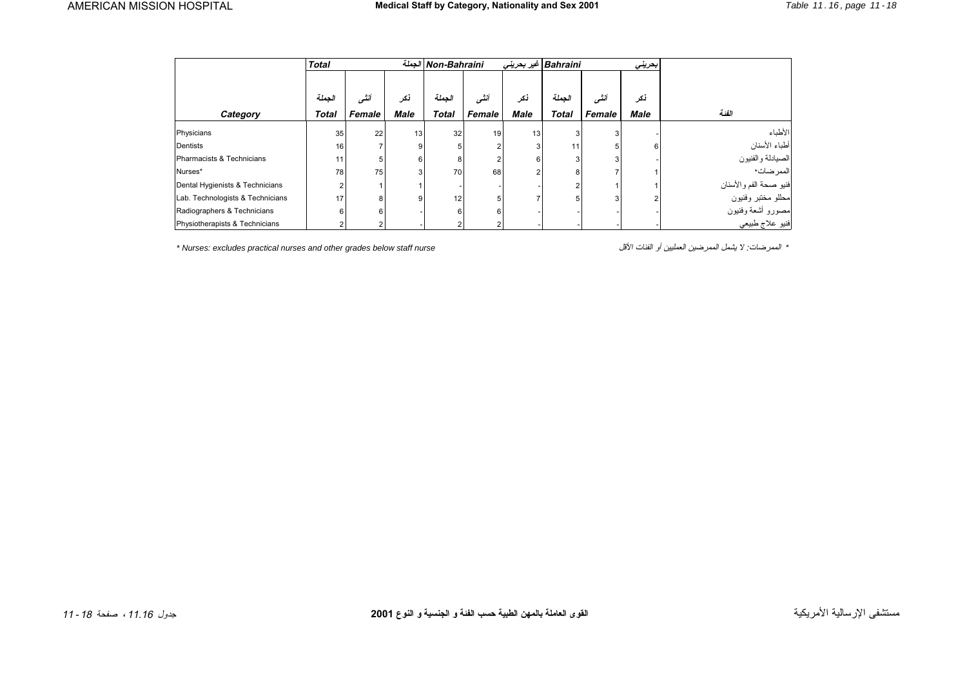<span id="page-6-0"></span>

|                                  | <b>Total</b> |        |             | Non-Bahraini الجملة |        |             | Bahraini غير بحريني |        | بحريني      |                        |
|----------------------------------|--------------|--------|-------------|---------------------|--------|-------------|---------------------|--------|-------------|------------------------|
|                                  |              |        |             |                     |        |             |                     |        |             |                        |
|                                  | الجملة       | أننسى  | نكر         | الجملة              | أننسى  | نكر         | الحملة              | أنشى   | نکر         |                        |
| Category                         | <b>Total</b> | Female | <b>Male</b> | <b>Total</b>        | Female | <b>Male</b> | <b>Total</b>        | Female | <b>Male</b> | الفنة                  |
| Physicians                       | 35           | 22     | 13          | 32                  | 19     | 13          |                     |        |             | الأطباء                |
| Dentists                         | 16           |        |             | 5                   |        | 3           | 11                  |        |             | أطباء الأسنان          |
| Pharmacists & Technicians        | 11           | 5      |             | 8                   |        | 6           |                     |        |             | الصيادلة والفنيون      |
| Nurses*                          | 78           | 75     |             | 70                  | 68     |             |                     |        |             | الممر ضات*             |
| Dental Hygienists & Technicians  |              |        |             |                     |        |             |                     |        |             | فنيو صحة الفم والأسنان |
| Lab. Technologists & Technicians | 17           |        |             | 12                  |        |             |                     |        |             | محللو مختبر وفنيون     |
| Radiographers & Technicians      | 6            | 6      |             | 6                   | ĥ      |             |                     |        |             | مصورو أشعة وفنيون      |
| Physiotherapists & Technicians   |              |        |             |                     |        |             |                     |        |             | فنيو علاج طبيعي        |

*\* Nurses: excludes practical nurses and other grades below staff nurse* الأقل الفئات أو العمليين الممرضين يشمل لا :الممرضات\*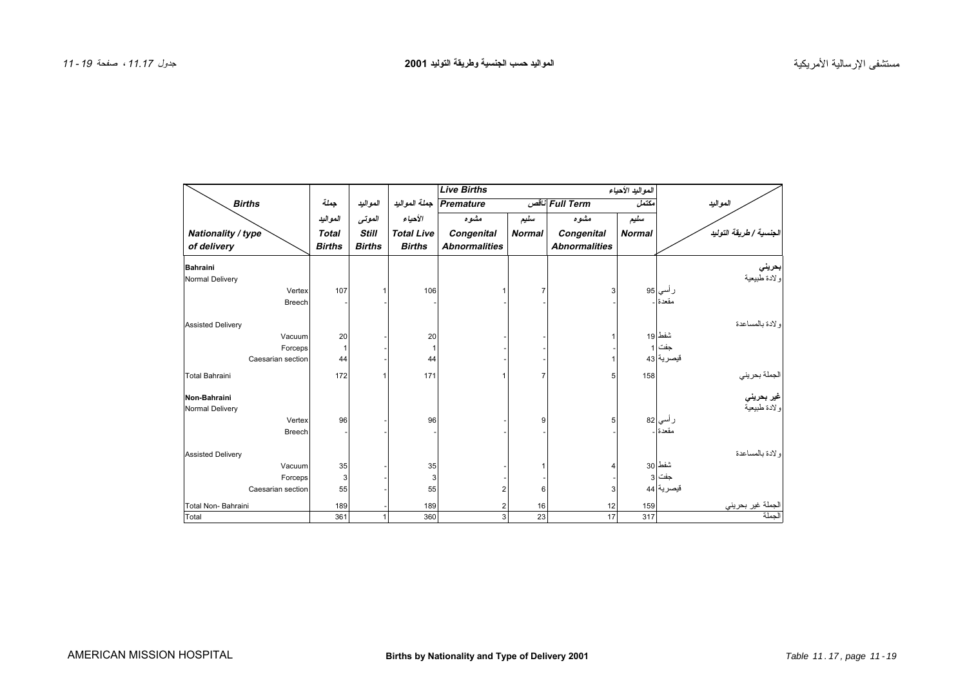<span id="page-7-0"></span>

|                           |               |                |                   | <b>Live Births</b>   |               |                      | المواليد الأحياء |                                          |
|---------------------------|---------------|----------------|-------------------|----------------------|---------------|----------------------|------------------|------------------------------------------|
| <b>Births</b>             | جملة          | المواليد       | جملة المواليد     | Premature            |               | Full Term أناقص      | مكتمل            | المواليد                                 |
|                           | المواليد      | العوتى         | الأحياء           | مشوه                 | سليم          | مشوه                 | سليم             |                                          |
| <b>Nationality / type</b> | <b>Total</b>  | <b>Still</b>   | <b>Total Live</b> | Congenital           | <b>Normal</b> | Congenital           | <b>Normal</b>    | الجنسية / طريقة التوليد                  |
| of delivery               | <b>Births</b> | <b>Births</b>  | <b>Births</b>     | <b>Abnormalities</b> |               | <b>Abnormalities</b> |                  |                                          |
| Bahraini                  |               |                |                   |                      |               |                      |                  |                                          |
| Normal Delivery           |               |                |                   |                      |               |                      |                  | بحريني<br>ولادة طبيعية                   |
| Vertex                    | 107           |                | 106               |                      | 7             | 3                    |                  | ر أسي 95                                 |
| Breech                    |               |                |                   |                      |               |                      |                  | مقعدة  _                                 |
| <b>Assisted Delivery</b>  |               |                |                   |                      |               |                      |                  | ولادة بالمساعدة                          |
| Vacuum                    | 20            |                | 20                |                      |               |                      |                  | شفط 19                                   |
| Forceps                   | 1             |                |                   |                      |               |                      |                  | جفت   1                                  |
| Caesarian section         | 44            |                | 44                |                      |               |                      |                  | فيصرية 43                                |
| <b>Total Bahraini</b>     | 172           |                | 171               | 1                    |               | 5                    | 158              | الجملة بحريني                            |
| Non-Bahraini              |               |                |                   |                      |               |                      |                  | <b>غير بحرين<i>ي</i></b><br>ولادة طبيعية |
| Normal Delivery           |               |                |                   |                      |               |                      |                  |                                          |
| Vertex                    | 96            |                | 96                |                      | 9             | 5                    |                  | ر أسي 82                                 |
| <b>Breech</b>             |               |                |                   |                      |               |                      |                  | مقعدة ۔                                  |
| <b>Assisted Delivery</b>  |               |                |                   |                      |               |                      |                  | و لادة بالمساعدة                         |
| Vacuum                    | 35            |                | 35                |                      |               | 4                    |                  | شفط 30                                   |
| Forceps                   | 3             |                | 3                 |                      |               |                      |                  | جفت S                                    |
| Caesarian section         | 55            |                | 55                | $\overline{2}$       | 6             | 3                    |                  | قيصرية 44                                |
| Total Non-Bahraini        | 189           |                | 189               | 2                    | 16            | 12                   | 159              | الجملة غير بحريني<br>الحملة              |
| Total                     | 361           | 1 <sup>1</sup> | 360               | 3                    | 23            | 17                   | 317              |                                          |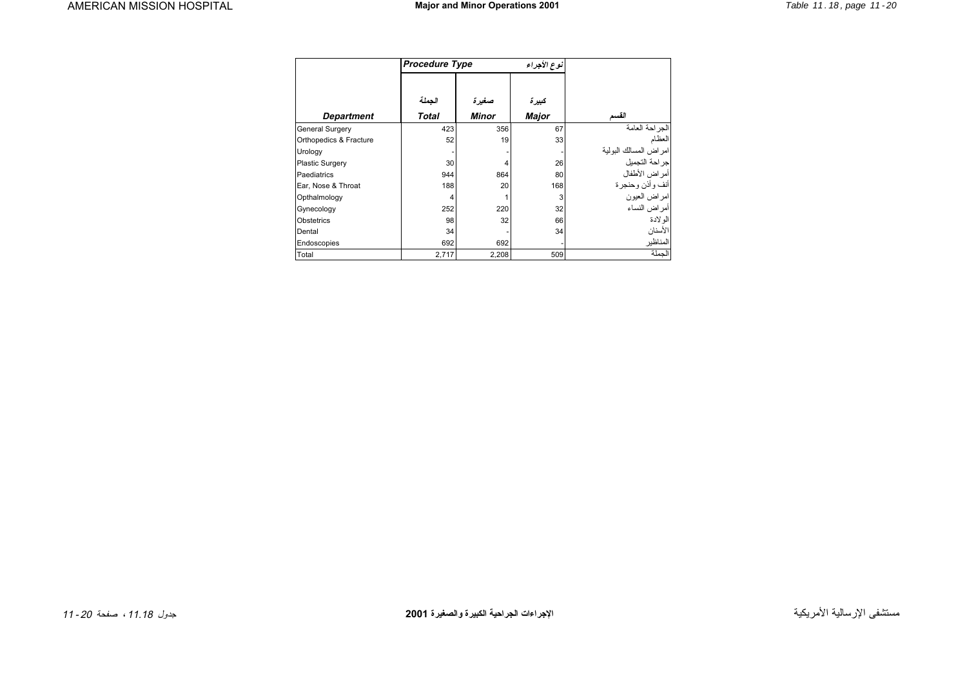<span id="page-8-0"></span>

|                        | <b>Procedure Type</b> |              | نوع الأجراء  |                       |
|------------------------|-----------------------|--------------|--------------|-----------------------|
|                        |                       |              |              |                       |
|                        | الجملة                | صغيرة        | كبيرة        |                       |
| <b>Department</b>      | <b>Total</b>          | <b>Minor</b> | <b>Major</b> | القسم                 |
| General Surgery        | 423                   | 356          | 67           | الجراحة العامة        |
| Orthopedics & Fracture | 52                    | 19           | 33           | العظام                |
| Urology                |                       |              |              | امراض المسالك البولية |
| <b>Plastic Surgery</b> | 30                    | 4            | 26           | أجراحة التجميل        |
| Paediatrics            | 944                   | 864          | 80           | أمراض الأطفال         |
| Ear, Nose & Throat     | 188                   | 20           | 168          | أنف وأذن وحنجرة       |
| Opthalmology           | 4                     |              | 3            | امراض العيون          |
| Gynecology             | 252                   | 220          | 32           | أمر اض النساء         |
| Obstetrics             | 98                    | 32           | 66           | الو لادة              |
| Dental                 | 34                    |              | 34           | الأسنان               |
| Endoscopies            | 692                   | 692          |              | المناظير              |
| Total                  | 2,717                 | 2,208        | 509          | الحملة                |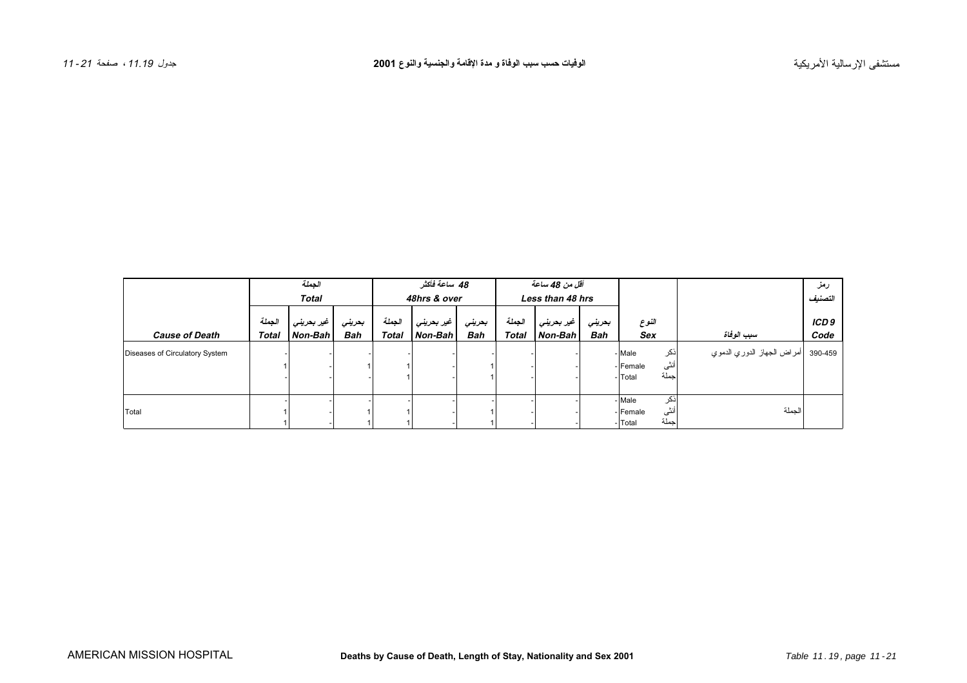<span id="page-9-0"></span>

|                                |        | الجملة       |        |              | 48 ساعة فأكثر |        |                  | أقل من 48 ساعة               |     |                  |                            | رمز              |
|--------------------------------|--------|--------------|--------|--------------|---------------|--------|------------------|------------------------------|-----|------------------|----------------------------|------------------|
|                                |        | <b>Total</b> |        | 48hrs & over |               |        | Less than 48 hrs |                              |     |                  |                            | التصنيف          |
|                                | الجملة | غير بحريني   | بعريني | الجملة       | غیر بحرینی    | بعرينى | الجملة           | بعرينى<br>غیر بح <i>رینی</i> |     | النوع            |                            | ICD <sub>9</sub> |
| <b>Cause of Death</b>          | Total  | Non-Bah      | Bah    | <b>Total</b> | Non-Bah       | Bah    | <b>Total</b>     | Non-Bah                      | Bah | Sex              | سبب الوفاة                 | Code             |
| Diseases of Circulatory System |        |              |        |              |               |        |                  |                              |     | اذكر<br>- Male   | أمراض الجهاز الدوري الدموي | 390-459          |
|                                |        |              |        |              |               |        |                  |                              |     | أنثى<br>- Female |                            |                  |
|                                |        |              |        |              |               |        |                  |                              |     | حملة<br>- Total  |                            |                  |
|                                |        |              |        |              |               |        |                  |                              |     | اذكر<br>- Male   |                            |                  |
| Total                          |        |              |        |              |               |        |                  |                              |     | أنثى<br>- Female | الجملة                     |                  |
|                                |        |              |        |              |               |        |                  |                              |     | جملة<br>- Total  |                            |                  |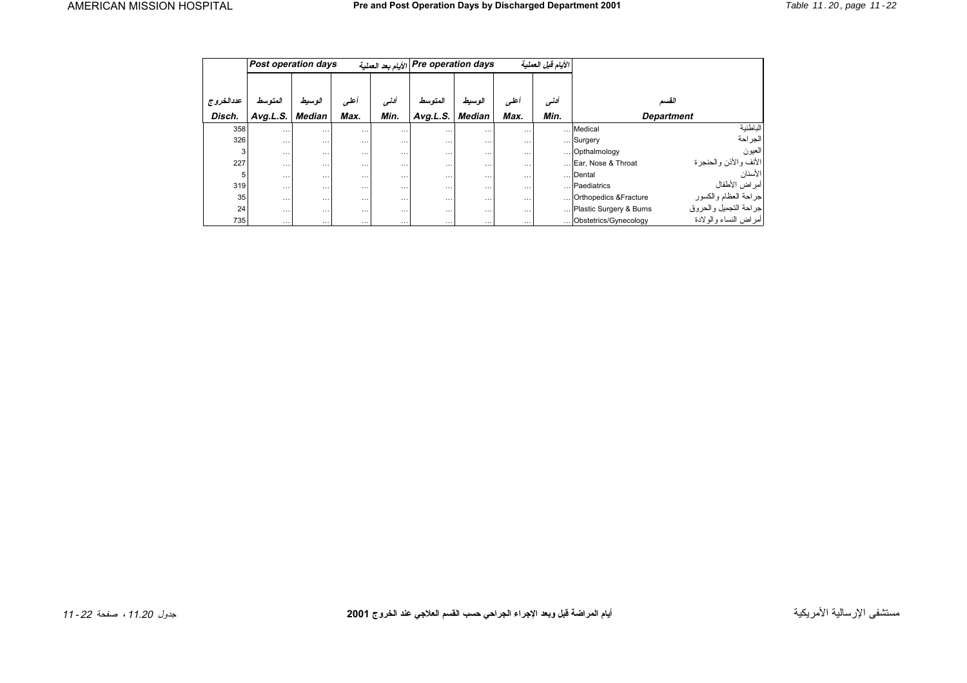<span id="page-10-0"></span>

|          | <b>Post operation days</b> |               |          |          | لأيام بعد العملية $ Pre\;$ operation days |          |          | الأيام قبل العملية |                         |                       |
|----------|----------------------------|---------------|----------|----------|-------------------------------------------|----------|----------|--------------------|-------------------------|-----------------------|
|          |                            |               |          |          |                                           |          |          |                    |                         |                       |
| عدالغروج | المتو سط                   | الوسيط        | أعلى     | النس     | المتو سط                                  | اوسيط    | أعلى     | ألنسى              |                         | القسد                 |
| Disch.   | Avg.L.S.                   | <b>Median</b> | Max.     | Min.     | Avg.L.S.                                  | Median   | Max.     | Min.               |                         | <b>Department</b>     |
| 358      | $\cdots$                   | $\cdots$      | $\cdots$ | $\cdots$ | $\cdots$                                  | $\cdots$ | $\cdots$ |                    | Medical                 | الباطنية              |
| 326      | $\cdots$                   | $\cdots$      | $\cdots$ | $\cdots$ | $\cdots$                                  | $\cdots$ | $\cdots$ |                    | Surgery                 | الجراحة               |
|          | $\cdots$                   | $\cdots$      | $\cdots$ | $\cdots$ | $\cdots$                                  | $\cdots$ | $\cdots$ |                    | Opthalmology            | العيون                |
| 227      | $\cdots$                   | $\cdots$      | $\cdots$ | $\cdots$ | $\cdots$                                  | $\cdots$ | $\cdots$ |                    | Ear, Nose & Throat      | الأنف والأذن والحنجرة |
|          | $\cdots$                   | $\cdots$      | $\cdots$ | $\cdots$ | $\cdots$                                  | $\cdots$ | $\cdots$ |                    | Dental                  | الأسنان               |
| 319      | $\cdots$                   | $\cdots$      | $\cdots$ | $\cdots$ | $\cdots$                                  | $\cdots$ | $\cdots$ |                    | Paediatrics             | أمراض الأطفال         |
| 35       | $\cdots$                   | $\cdots$      | $\cdots$ | $\cdots$ | $\cdots$                                  | $\cdots$ | $\cdots$ |                    | Orthopedics & Fracture  | بجراحة العظام والكسور |
| 24       | $\cdots$                   | $\cdots$      | $\cdots$ | $\cdots$ | $\cdots$                                  | $\cdots$ | $\cdots$ |                    | Plastic Surgery & Burns | براحة التجميل والحروق |
| 735      | $\cdots$                   | $\cdots$      | $\cdots$ | $\cdots$ | $\cdots$                                  | $\cdots$ | $\cdots$ | $\cdots$           | Obstetrics/Gynecology   | أمراض النساء والولادة |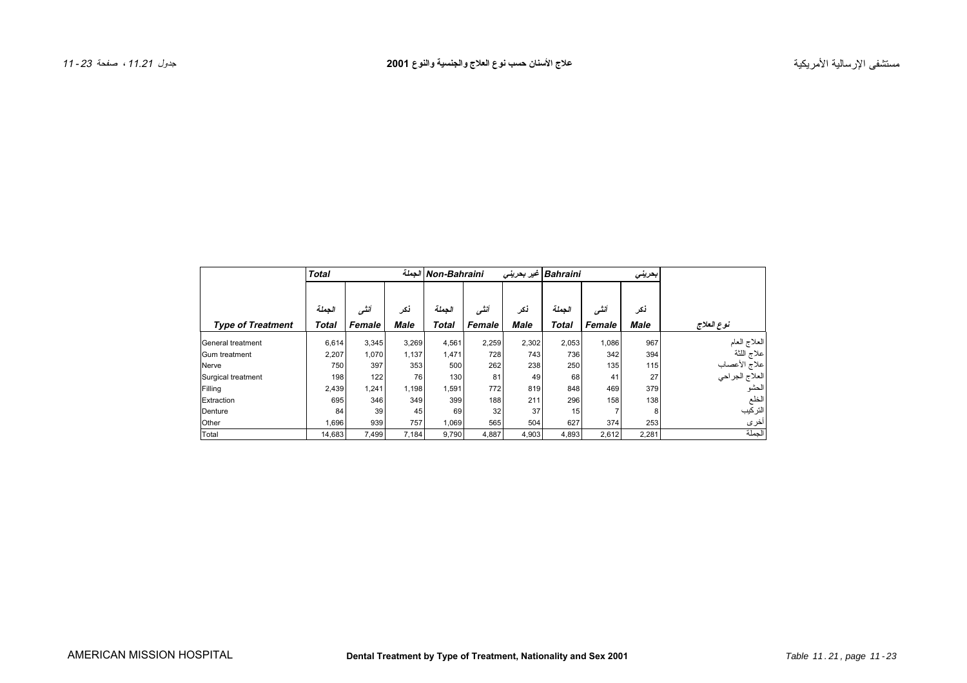<span id="page-11-0"></span>

|                          | <b>Total</b> |        |             | الجملة Non-Bahraini<br>Bahraini غیر بحرینی |        |             |              |        | بحريني      |                                |
|--------------------------|--------------|--------|-------------|--------------------------------------------|--------|-------------|--------------|--------|-------------|--------------------------------|
|                          |              |        |             |                                            |        |             |              |        |             |                                |
|                          | الجملة       | أنشى   | ئكر         | الحملة                                     | أنشى   | نكر         | الحملة       | أننسى  | نكر         |                                |
| <b>Type of Treatment</b> | <b>Total</b> | Female | <b>Male</b> | Total                                      | Female | <b>Male</b> | <b>Total</b> | Female | <b>Male</b> | نوع العلاج                     |
| General treatment        | 6,614        | 3,345  | 3,269       | 4,561                                      | 2,259  | 2,302       | 2,053        | 1,086  | 967         | العلاج العام                   |
| Gum treatment            | 2,207        | 1,070  | 1.137       | 1,471                                      | 728    | 743         | 736          | 342    | 394         | علاج اللثة                     |
| Nerve                    | 750          | 397    | 353         | 500                                        | 262    | 238         | 250          | 135    | 115         |                                |
| Surgical treatment       | 198          | 122    | 76          | 130                                        | 81     | 49          | 68           | 41     | 27          | علاج الأعصاب<br>العلاج الجراحي |
| Filling                  | 2,439        | 1,241  | 1.198       | 1,591                                      | 772    | 819         | 848          | 469    | 379         | الحشو                          |
| Extraction               | 695          | 346    | 349         | 399                                        | 188    | 211         | 296          | 158    | 138         | الخلع                          |
| Denture                  | 84           | 39     | 45          | 69                                         | 32     | 37          | 15           |        | 8           | التركيب                        |
| Other                    | 1,696        | 939    | 757         | 1,069                                      | 565    | 504         | 627          | 374    | 253         | أخرى                           |
| Total                    | 14.683       | 7,499  | 7,184       | 9,790                                      | 4,887  | 4,903       | 4,893        | 2,612  | 2,281       | الحملة                         |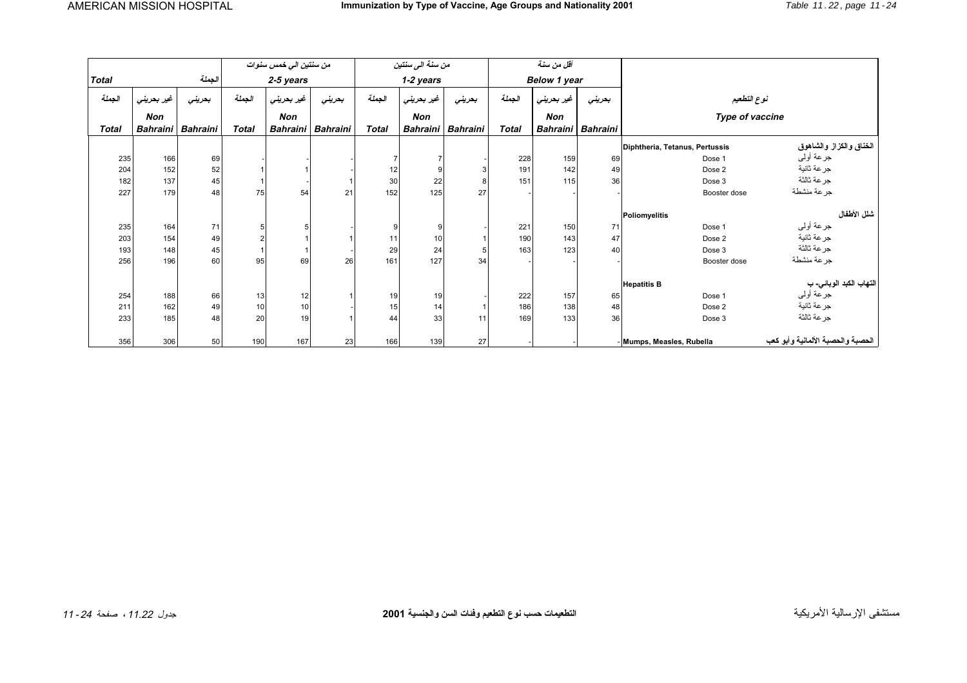<span id="page-12-0"></span>

|                        |                        | من سنتين الى خمس سنوات |                | من سنة الى سنتين              |                 | أقل من سنة   |            |                          |              |                        |                 |                                |                                   |  |
|------------------------|------------------------|------------------------|----------------|-------------------------------|-----------------|--------------|------------|--------------------------|--------------|------------------------|-----------------|--------------------------------|-----------------------------------|--|
| الجملة<br><b>Total</b> |                        | 2-5 years              |                | 1-2 years                     |                 | Below 1 year |            |                          |              |                        |                 |                                |                                   |  |
| الجملة                 | غير بحريني             | بحريني                 | الجملة         | غير بحريني                    | بعريني          | الجملة       | غير بحريني | بعريني                   | الجملة       | غير بحريني             | بحريني          | نوع التطعيم                    |                                   |  |
| <b>Total</b>           | Non<br><b>Bahraini</b> | <b>Bahraini</b>        | <b>Total</b>   | <b>Non</b><br><b>Bahraini</b> | <b>Bahraini</b> | <b>Total</b> | Non        | <b>Bahraini Bahraini</b> | <b>Total</b> | Non<br><b>Bahraini</b> | <b>Bahraini</b> | Type of vaccine                |                                   |  |
|                        |                        |                        |                |                               |                 |              |            |                          |              |                        |                 | Diphtheria, Tetanus, Pertussis | الخناق والكزاز والشاهوق           |  |
| 235                    | 166                    | 69                     |                |                               |                 |              |            |                          | 228          | 159                    | 69              | Dose 1                         | جرعة أوليي                        |  |
| 204                    | 152                    | 52                     |                |                               |                 | 12           |            |                          | 191          | 142                    | 49              | Dose 2                         | جر عة ثانية                       |  |
| 182                    | 137                    | 45                     |                |                               |                 | 30           | 22         | 8                        | 151          | 115                    | 36              | Dose 3                         | جرعة ثالثة                        |  |
| 227                    | 179                    | 48                     | 75             | 54                            | 21              | 152          | 125        | 27                       |              |                        |                 | Booster dose                   | جرعة منشطة                        |  |
|                        |                        |                        |                |                               |                 |              |            |                          |              |                        |                 | Poliomyelitis                  | شلل الأطفال                       |  |
| 235                    | 164                    | 71                     | 5              |                               |                 | 9            | я          |                          | 221          | 150                    | 71              | Dose 1                         | جرعة أولى                         |  |
| 203                    | 154                    | 49                     | $\overline{2}$ |                               |                 | 11           | 10         |                          | 190          | 143                    | 47              | Dose 2                         | جر عة ثانية                       |  |
| 193                    | 148                    | 45                     |                |                               |                 | 29           | 24         |                          | 163          | 123                    | 40              | Dose 3                         | جرعة ثالثة                        |  |
| 256                    | 196                    | 60                     | 95             | 69                            | 26              | 161          | 127        | 34                       |              |                        |                 | Booster dose                   | جرعة منشطة                        |  |
|                        |                        |                        |                |                               |                 |              |            |                          |              |                        |                 | <b>Hepatitis B</b>             | التهاب الكبد الوبائي- ب           |  |
| 254                    | 188                    | 66                     | 13             | 12                            |                 | 19           | 19         |                          | 222          | 157                    | 65              | Dose 1                         | جرعة أولىي                        |  |
| 211                    | 162                    | 49                     | 10             | 10                            |                 | 15           | 14         |                          | 186          | 138                    | 48              | Dose 2                         | جر عة ثانية                       |  |
| 233                    | 185                    | 48                     | 20             | 19                            |                 | 44           | 33         | 11                       | 169          | 133                    | 36              | Dose 3                         | جر عة ثالثة                       |  |
| 356                    | 306                    | 50                     | 190            | 167                           | 23              | 166          | 139        | 27                       |              |                        |                 | - Mumps, Measles, Rubella      | الحصبة والحصبة الألمانية وأبو كعب |  |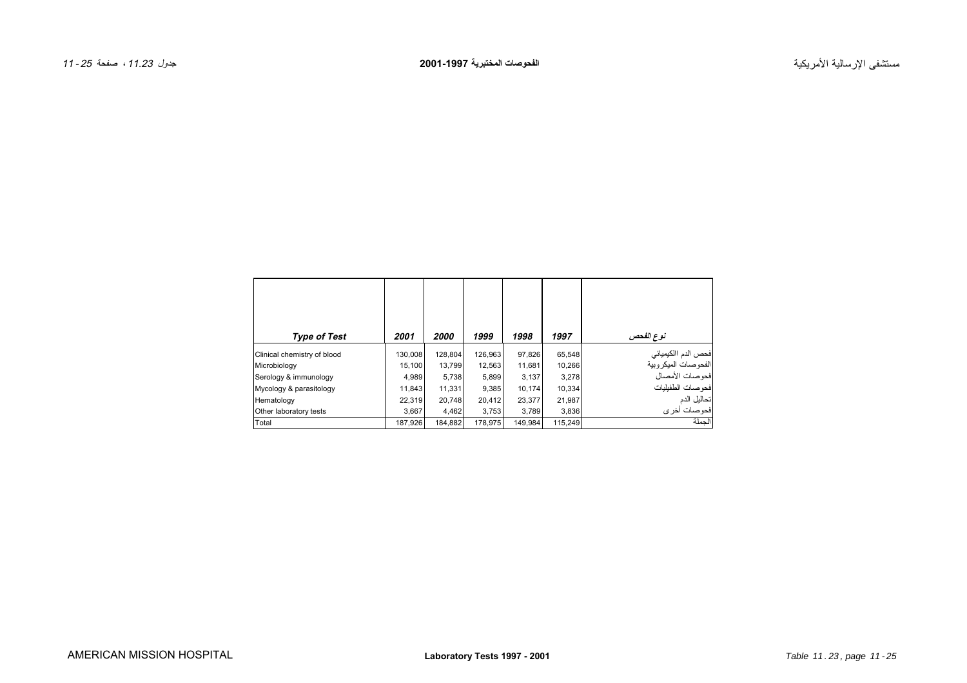<span id="page-13-0"></span>

| <b>Type of Test</b>         | 2001    | <i><b>2000</b></i> | 1999    | 1998    | 1997    | نوع الفحص                                    |
|-----------------------------|---------|--------------------|---------|---------|---------|----------------------------------------------|
| Clinical chemistry of blood | 130,008 | 128,804            | 126,963 | 97,826  | 65,548  | فحص الدم االكيميائي<br>الفحو صات الميكر وبية |
| Microbiology                | 15.100  | 13.799             | 12,563  | 11,681  | 10,266  |                                              |
| Serology & immunology       | 4.989   | 5,738              | 5,899   | 3,137   | 3.278   | فحو صات الأمصال                              |
| Mycology & parasitology     | 11,843  | 11,331             | 9,385   | 10.174  | 10.334  | فحوصات الطفيليات                             |
| Hematology                  | 22.319  | 20.748             | 20.412  | 23,377  | 21.987  | تحاليل الدم                                  |
| Other laboratory tests      | 3.667   | 4,462              | 3.753   | 3.789   | 3.836   | فحو صنات أخز ي                               |
| Total                       | 187,926 | 184,882            | 178.975 | 149.984 | 115,249 | الحملة                                       |